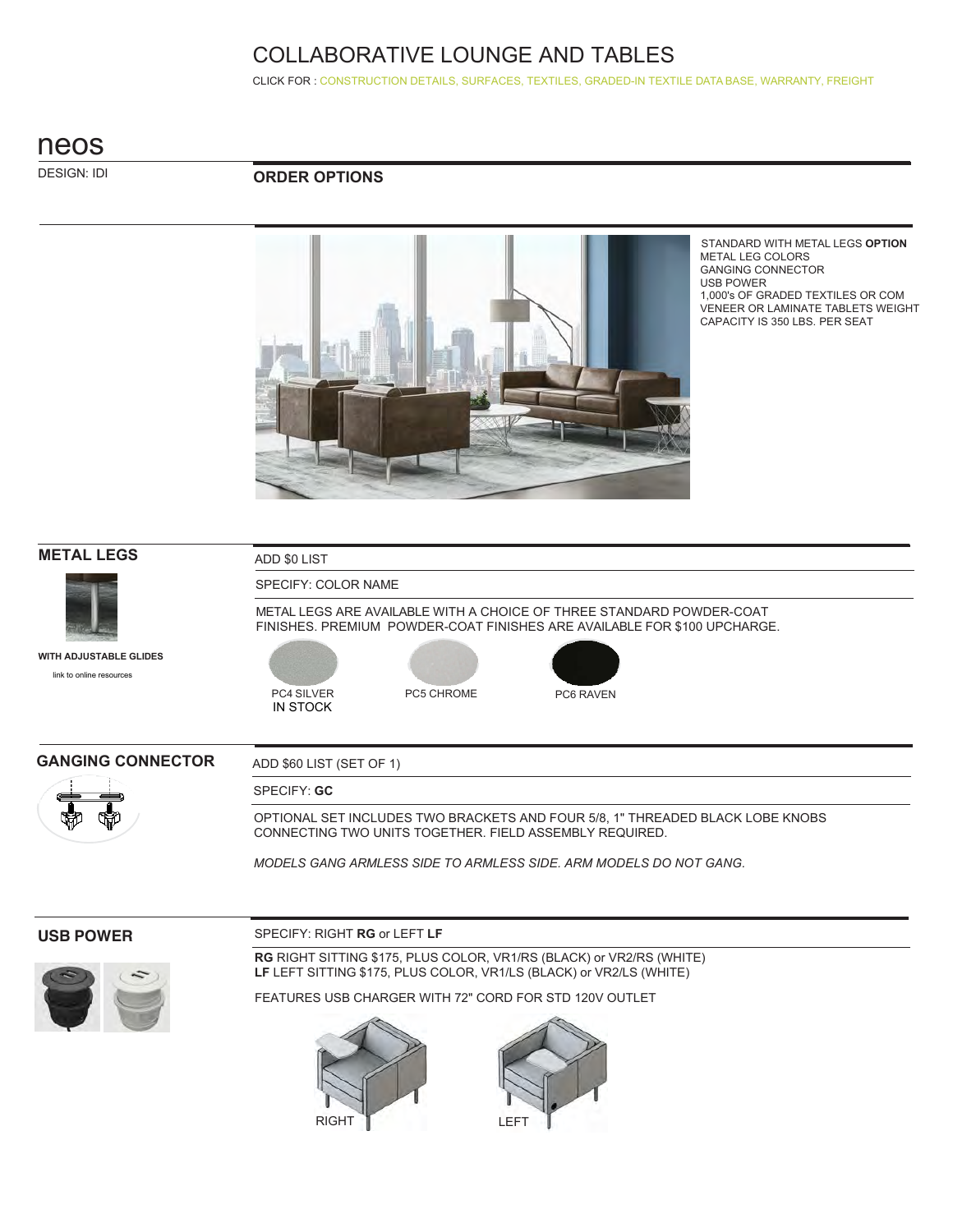CLICK FOR : CONSTRUCTION DETAILS, SURFACES, TEXTILES, GRADED-IN TEXTILE DATA BASE, WARRANTY, FREIGHT

## neos

DESIGN: IDI

#### **ORDER OPTIONS**



STANDARD WITH METAL LEGS **OPTION** METAL LEG COLORS GANGING CONNECTOR USB POWER 1,000's OF GRADED TEXTILES OR COM VENEER OR LAMINATE TABLETS WEIGHT CAPACITY IS 350 LBS. PER SEAT

# **METAL LEGS** ADD \$0 LIST SPECIFY: COLOR NAME METAL LEGS ARE AVAILABLE WITH A CHOICE OF THREE STANDARD POWDER-COAT FINISHES. PREMIUM POWDER-COAT FINISHES ARE AVAILABLE FOR \$100 UPCHARGE. PC4 SILVER PC5 CHROME PC6 RAVEN IN STOCK **WITH ADJUSTABLE GLIDES** GANGING CONNECTOR ADD \$60 LIST (SET OF 1) SPECIFY: **GC** OPTIONAL SET INCLUDES TWO BRACKETS AND FOUR 5/8, 1" THREADED BLACK LOBE KNOBS CONNECTING TWO UNITS TOGETHER. FIELD ASSEMBLY REQUIRED. *MODELS GANG ARMLESS SIDE TO ARMLESS SIDE. ARM MODELS DO NOT GANG.* [link to online resources](https://www.ekocontract.com/surfaces/)

#### **USB POWER**

#### SPECIFY: RIGHT **RG** or LEFT **LF**



**RG** RIGHT SITTING \$175, PLUS COLOR, VR1/RS (BLACK) or VR2/RS (WHITE) **LF** LEFT SITTING \$175, PLUS COLOR, VR1/LS (BLACK) or VR2/LS (WHITE)

FEATURES USB CHARGER WITH 72" CORD FOR STD 120V OUTLET



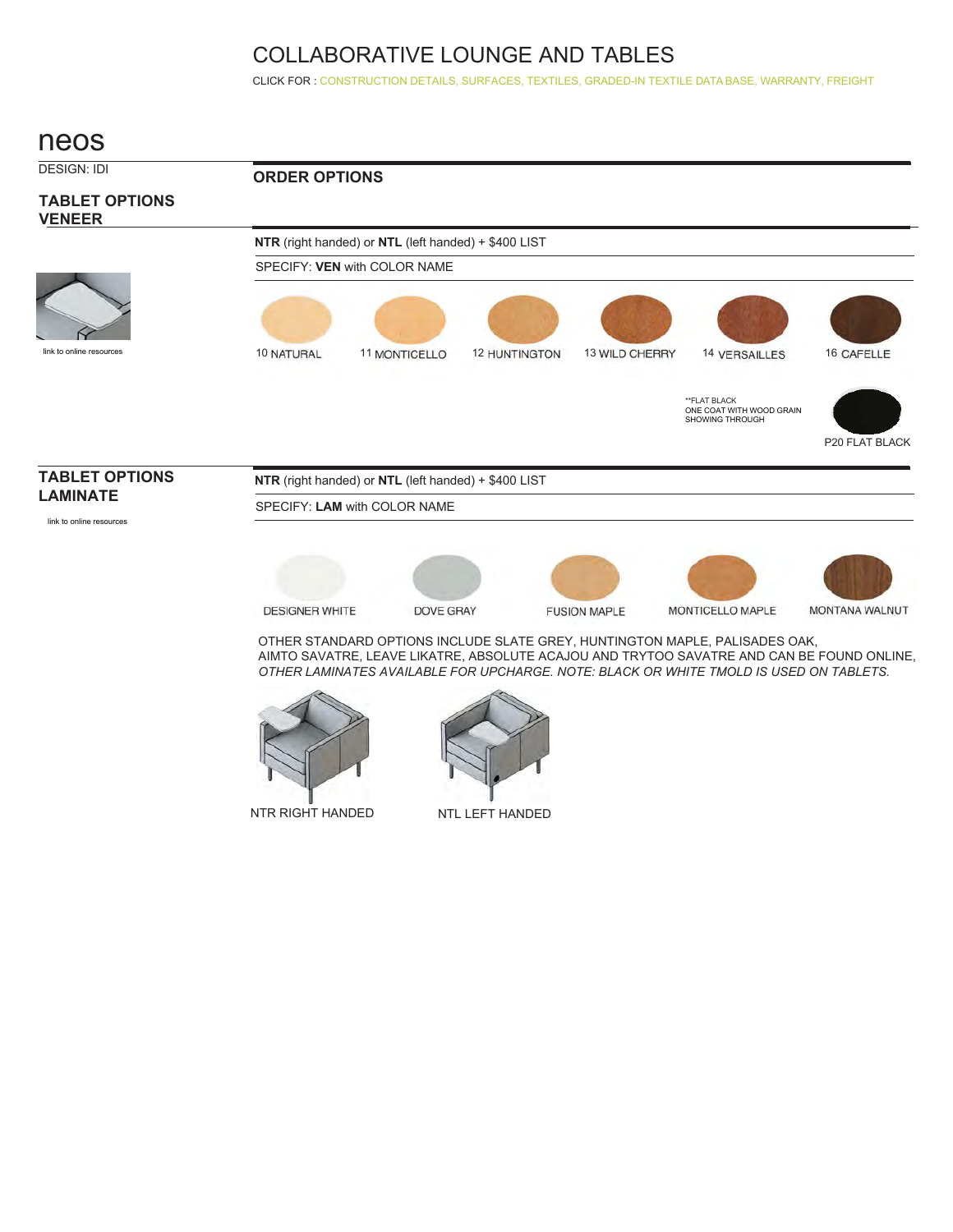CLICK FOR : CONSTRUCTION DETAILS, SURFACES, TEXTILES, GRADED-IN TEXTILE DATA BASE, WARRANTY, FREIGHT

## neos



NTR RIGHT HANDED NTL LEFT HANDED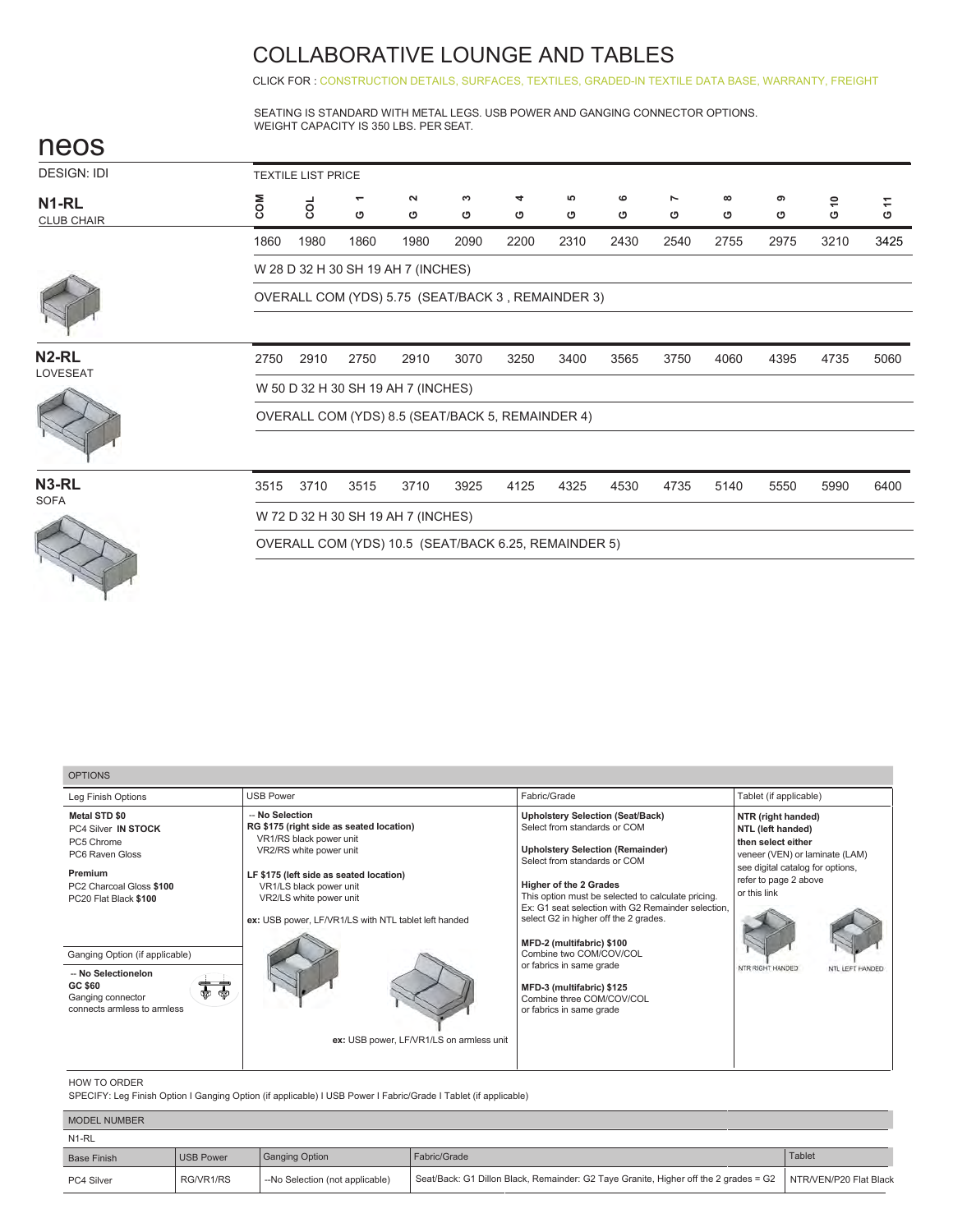CLICK FOR: CONSTRUCTION DETAILS, SURFACES, TEXTILES, GRADED-IN TEXTILE DATA BASE, WARRANTY, FREIGHT

SEATING IS STANDARD WITH METAL LEGS. USB POWER AND GANGING CONNECTOR OPTIONS. WEIGHT CAPACITY IS 350 LBS. PER SEAT.

| neos                                   |                                                  |      |        |                                                      |        |        |         |              |                     |               |        |         |                                                                  |
|----------------------------------------|--------------------------------------------------|------|--------|------------------------------------------------------|--------|--------|---------|--------------|---------------------|---------------|--------|---------|------------------------------------------------------------------|
| <b>DESIGN: IDI</b>                     | <b>TEXTILE LIST PRICE</b>                        |      |        |                                                      |        |        |         |              |                     |               |        |         |                                                                  |
| N <sub>1-RL</sub><br><b>CLUB CHAIR</b> | COM                                              | coL  | ÷<br>O | $\sim$<br>O                                          | c<br>O | 4<br>৩ | မာ<br>ပ | $\circ$<br>ပ | $\overline{ }$<br>ပ | $\infty$<br>৩ | ၜ<br>ပ | \$<br>O | $\stackrel{\scriptstyle\mathsf{T}}{\scriptstyle\mathsf{T}}$<br>O |
|                                        | 1860                                             | 1980 | 1860   | 1980                                                 | 2090   | 2200   | 2310    | 2430         | 2540                | 2755          | 2975   | 3210    | 3425                                                             |
|                                        |                                                  |      |        | W 28 D 32 H 30 SH 19 AH 7 (INCHES)                   |        |        |         |              |                     |               |        |         |                                                                  |
|                                        |                                                  |      |        | OVERALL COM (YDS) 5.75 (SEAT/BACK 3, REMAINDER 3)    |        |        |         |              |                     |               |        |         |                                                                  |
|                                        |                                                  |      |        |                                                      |        |        |         |              |                     |               |        |         |                                                                  |
| N <sub>2-RL</sub><br>LOVESEAT          | 2750                                             | 2910 | 2750   | 2910                                                 | 3070   | 3250   | 3400    | 3565         | 3750                | 4060          | 4395   | 4735    | 5060                                                             |
|                                        | W 50 D 32 H 30 SH 19 AH 7 (INCHES)               |      |        |                                                      |        |        |         |              |                     |               |        |         |                                                                  |
|                                        | OVERALL COM (YDS) 8.5 (SEAT/BACK 5, REMAINDER 4) |      |        |                                                      |        |        |         |              |                     |               |        |         |                                                                  |
|                                        |                                                  |      |        |                                                      |        |        |         |              | 4735<br>5140        |               |        |         |                                                                  |
| N <sub>3</sub> -RL<br><b>SOFA</b>      | 3515                                             | 3710 | 3515   | 3710                                                 | 3925   | 4125   | 4325    | 4530         |                     |               | 5550   | 5990    | 6400                                                             |
|                                        |                                                  |      |        | W 72 D 32 H 30 SH 19 AH 7 (INCHES)                   |        |        |         |              |                     |               |        |         |                                                                  |
|                                        |                                                  |      |        | OVERALL COM (YDS) 10.5 (SEAT/BACK 6.25, REMAINDER 5) |        |        |         |              |                     |               |        |         |                                                                  |
|                                        |                                                  |      |        |                                                      |        |        |         |              |                     |               |        |         |                                                                  |
|                                        |                                                  |      |        |                                                      |        |        |         |              |                     |               |        |         |                                                                  |

| <b>OPTIONS</b>                                                                                                                                                                                                                                                              |                                                                                                                                                                                                                                                                                                                        |                                                                                                                                                                                                                                                                                                                                                                                                                                                                                                                    |                                                                                                                                                                                                                     |
|-----------------------------------------------------------------------------------------------------------------------------------------------------------------------------------------------------------------------------------------------------------------------------|------------------------------------------------------------------------------------------------------------------------------------------------------------------------------------------------------------------------------------------------------------------------------------------------------------------------|--------------------------------------------------------------------------------------------------------------------------------------------------------------------------------------------------------------------------------------------------------------------------------------------------------------------------------------------------------------------------------------------------------------------------------------------------------------------------------------------------------------------|---------------------------------------------------------------------------------------------------------------------------------------------------------------------------------------------------------------------|
| Leg Finish Options                                                                                                                                                                                                                                                          | <b>USB Power</b>                                                                                                                                                                                                                                                                                                       | Fabric/Grade                                                                                                                                                                                                                                                                                                                                                                                                                                                                                                       | Tablet (if applicable)                                                                                                                                                                                              |
| <b>Metal STD \$0</b><br>PC4 Silver IN STOCK<br>PC5 Chrome<br>PC6 Raven Gloss<br>Premium<br>PC2 Charcoal Gloss \$100<br>PC20 Flat Black \$100<br>Ganging Option (if applicable)<br>-- No Selectionelon<br>GC \$60<br>● ●<br>Ganging connector<br>connects armless to armless | -- No Selection<br>RG \$175 (right side as seated location)<br>VR1/RS black power unit<br>VR2/RS white power unit<br>LF \$175 (left side as seated location)<br>VR1/LS black power unit<br>VR2/LS white power unit<br>ex: USB power, LF/VR1/LS with NTL tablet left handed<br>ex: USB power, LF/VR1/LS on armless unit | <b>Upholstery Selection (Seat/Back)</b><br>Select from standards or COM<br><b>Upholstery Selection (Remainder)</b><br>Select from standards or COM<br><b>Higher of the 2 Grades</b><br>This option must be selected to calculate pricing.<br>Ex: G1 seat selection with G2 Remainder selection.<br>select G2 in higher off the 2 grades.<br>MFD-2 (multifabric) \$100<br>Combine two COM/COV/COL<br>or fabrics in same grade<br>MFD-3 (multifabric) \$125<br>Combine three COM/COV/COL<br>or fabrics in same grade | NTR (right handed)<br>NTL (left handed)<br>then select either<br>veneer (VEN) or laminate (LAM)<br>see digital catalog for options,<br>refer to page 2 above<br>or this link<br>NTR RIGHT HANDED<br>NTL LEFT HANDED |
|                                                                                                                                                                                                                                                                             |                                                                                                                                                                                                                                                                                                                        |                                                                                                                                                                                                                                                                                                                                                                                                                                                                                                                    |                                                                                                                                                                                                                     |

#### HOW TO ORDER

SPECIFY: Leg Finish Option I Ganging Option (if applicable) I USB Power I Fabric/Grade I Tablet (if applicable)

| <b>MODEL NUMBER</b> |           |                                 |                                                                                      |                        |
|---------------------|-----------|---------------------------------|--------------------------------------------------------------------------------------|------------------------|
| N1-RL               |           |                                 |                                                                                      |                        |
| <b>Base Finish</b>  | USB Power | Ganging Option                  | Fabric/Grade                                                                         | Tablet                 |
| PC4 Silver          | RG/VR1/RS | --No Selection (not applicable) | Seat/Back: G1 Dillon Black, Remainder: G2 Taye Granite, Higher off the 2 grades = G2 | NTR/VEN/P20 Flat Black |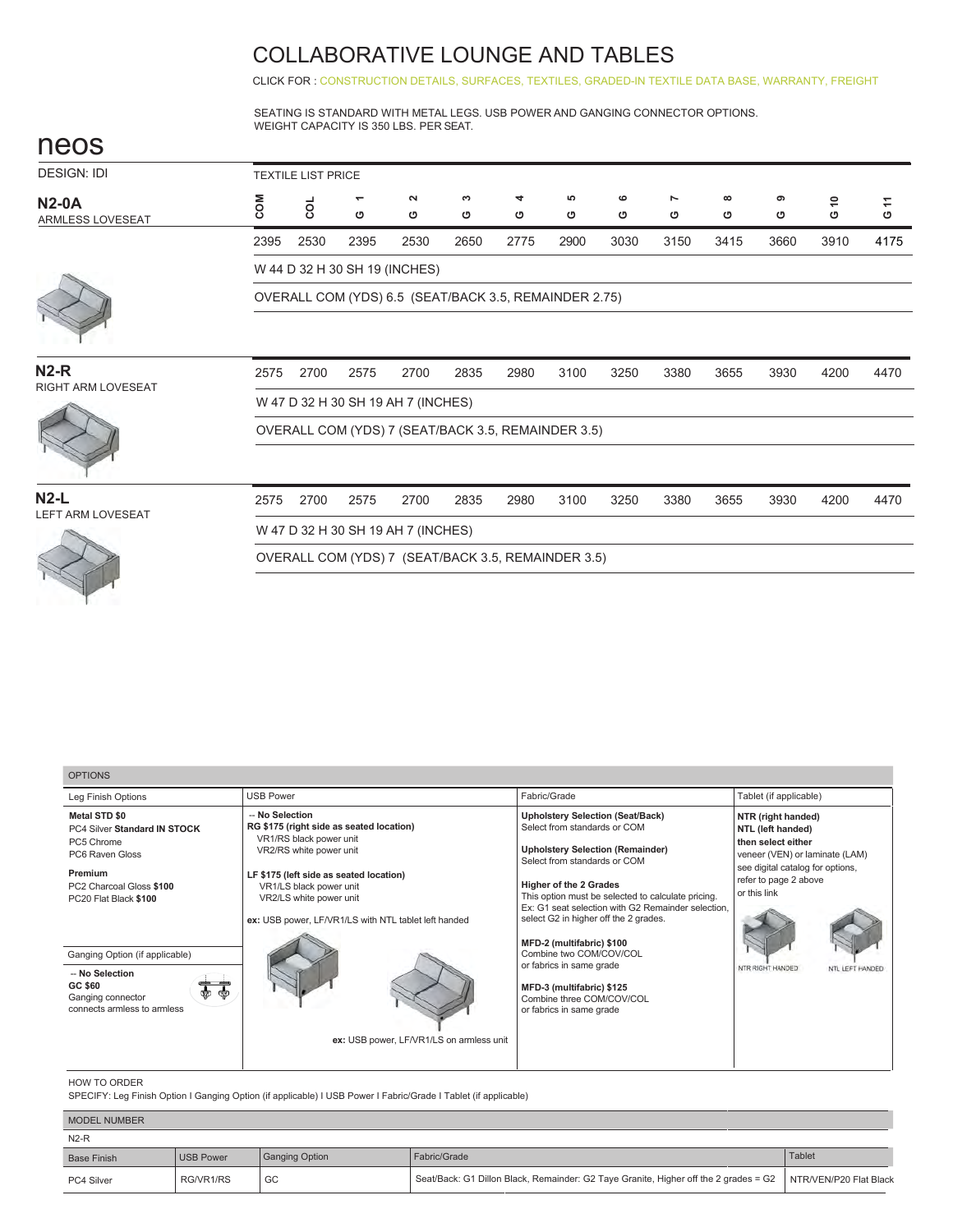CLICK FOR : CONSTRUCTION DETAILS, SURFACES, TEXTILES, GRADED-IN TEXTILE DATA BASE, WARRANTY, FREIGHT

SEATING IS STANDARD WITH METAL LEGS. USB POWER AND GANGING CONNECTOR OPTIONS. WEIGHT CAPACITY IS 350 LBS. PER SEAT.

| neos                                |                                    |      |                               |                                    |                                                       |        |         |        |        |               |        |         |        |
|-------------------------------------|------------------------------------|------|-------------------------------|------------------------------------|-------------------------------------------------------|--------|---------|--------|--------|---------------|--------|---------|--------|
| <b>DESIGN: IDI</b>                  | <b>TEXTILE LIST PRICE</b>          |      |                               |                                    |                                                       |        |         |        |        |               |        |         |        |
| <b>N2-0A</b><br>ARMLESS LOVESEAT    | <b>NO2</b>                         | coL  | $\overline{\phantom{0}}$<br>O | $\sim$<br>ပ                        | S<br>O                                                | 4<br>O | ဖာ<br>৩ | ဖ<br>ပ | ∼<br>ပ | $\infty$<br>ပ | െ<br>ပ | \$<br>O | Ξ<br>O |
|                                     | 2395                               | 2530 | 2395                          | 2530                               | 2650                                                  | 2775   | 2900    | 3030   | 3150   | 3415          | 3660   | 3910    | 4175   |
|                                     |                                    |      |                               | W 44 D 32 H 30 SH 19 (INCHES)      |                                                       |        |         |        |        |               |        |         |        |
|                                     |                                    |      |                               |                                    | OVERALL COM (YDS) 6.5 (SEAT/BACK 3.5, REMAINDER 2.75) |        |         |        |        |               |        |         |        |
|                                     |                                    |      |                               |                                    |                                                       |        |         |        |        |               |        |         |        |
| $N2-R$<br><b>RIGHT ARM LOVESEAT</b> | 2575                               | 2700 | 2575                          | 2700                               | 2835                                                  | 2980   | 3100    | 3250   | 3380   | 3655          | 3930   | 4200    | 4470   |
|                                     | W 47 D 32 H 30 SH 19 AH 7 (INCHES) |      |                               |                                    |                                                       |        |         |        |        |               |        |         |        |
|                                     |                                    |      |                               |                                    | OVERALL COM (YDS) 7 (SEAT/BACK 3.5, REMAINDER 3.5)    |        |         |        |        |               |        |         |        |
|                                     |                                    |      |                               |                                    |                                                       |        |         |        |        |               |        |         |        |
| $N2-L$<br><b>LEFT ARM LOVESEAT</b>  | 2575                               | 2700 | 2575                          | 2700                               | 2835                                                  | 2980   | 3100    | 3250   | 3380   | 3655          | 3930   | 4200    | 4470   |
|                                     |                                    |      |                               | W 47 D 32 H 30 SH 19 AH 7 (INCHES) |                                                       |        |         |        |        |               |        |         |        |
|                                     |                                    |      |                               |                                    | OVERALL COM (YDS) 7 (SEAT/BACK 3.5, REMAINDER 3.5)    |        |         |        |        |               |        |         |        |
|                                     |                                    |      |                               |                                    |                                                       |        |         |        |        |               |        |         |        |

| <b>OPTIONS</b>                                                                                                                                                                                                                                                                                                                                     |                                                                                                                                                                                                                                               |                                                                                                                                                                                                                                                                                                                                                                                                                                                                                                                    |                                                                                                                                                                                                                     |
|----------------------------------------------------------------------------------------------------------------------------------------------------------------------------------------------------------------------------------------------------------------------------------------------------------------------------------------------------|-----------------------------------------------------------------------------------------------------------------------------------------------------------------------------------------------------------------------------------------------|--------------------------------------------------------------------------------------------------------------------------------------------------------------------------------------------------------------------------------------------------------------------------------------------------------------------------------------------------------------------------------------------------------------------------------------------------------------------------------------------------------------------|---------------------------------------------------------------------------------------------------------------------------------------------------------------------------------------------------------------------|
| <b>USB Power</b><br>Leg Finish Options                                                                                                                                                                                                                                                                                                             |                                                                                                                                                                                                                                               | Fabric/Grade                                                                                                                                                                                                                                                                                                                                                                                                                                                                                                       | Tablet (if applicable)                                                                                                                                                                                              |
| -- No Selection<br><b>Metal STD \$0</b><br>PC4 Silver Standard IN STOCK<br>VR1/RS black power unit<br>PC5 Chrome<br>VR2/RS white power unit<br>PC6 Raven Gloss<br>Premium<br>PC2 Charcoal Gloss \$100<br>PC20 Flat Black \$100<br>Ganging Option (if applicable)<br>-- No Selection<br>GC \$60<br>Ganging connector<br>connects armless to armless | RG \$175 (right side as seated location)<br>LF \$175 (left side as seated location)<br>VR1/LS black power unit<br>VR2/LS white power unit<br>ex: USB power, LF/VR1/LS with NTL tablet left handed<br>ex: USB power, LF/VR1/LS on armless unit | <b>Upholstery Selection (Seat/Back)</b><br>Select from standards or COM<br><b>Upholstery Selection (Remainder)</b><br>Select from standards or COM<br><b>Higher of the 2 Grades</b><br>This option must be selected to calculate pricing.<br>Ex: G1 seat selection with G2 Remainder selection.<br>select G2 in higher off the 2 grades.<br>MFD-2 (multifabric) \$100<br>Combine two COM/COV/COL<br>or fabrics in same grade<br>MFD-3 (multifabric) \$125<br>Combine three COM/COV/COL<br>or fabrics in same grade | NTR (right handed)<br>NTL (left handed)<br>then select either<br>veneer (VEN) or laminate (LAM)<br>see digital catalog for options,<br>refer to page 2 above<br>or this link<br>NTR RIGHT HANDED<br>NTL LEFT HANDED |

#### HOW TO ORDER

SPECIFY: Leg Finish Option I Ganging Option (if applicable) I USB Power I Fabric/Grade I Tablet (if applicable)

| <b>MODEL NUMBER</b> |                  |                       |                                                                                      |                        |
|---------------------|------------------|-----------------------|--------------------------------------------------------------------------------------|------------------------|
| $N2-R$              |                  |                       |                                                                                      |                        |
| <b>Base Finish</b>  | <b>USB Power</b> | <b>Ganging Option</b> | Fabric/Grade                                                                         | Tablet                 |
| PC4 Silver          | RG/VR1/RS        | GC                    | Seat/Back: G1 Dillon Black, Remainder: G2 Taye Granite, Higher off the 2 grades = G2 | NTR/VEN/P20 Flat Black |